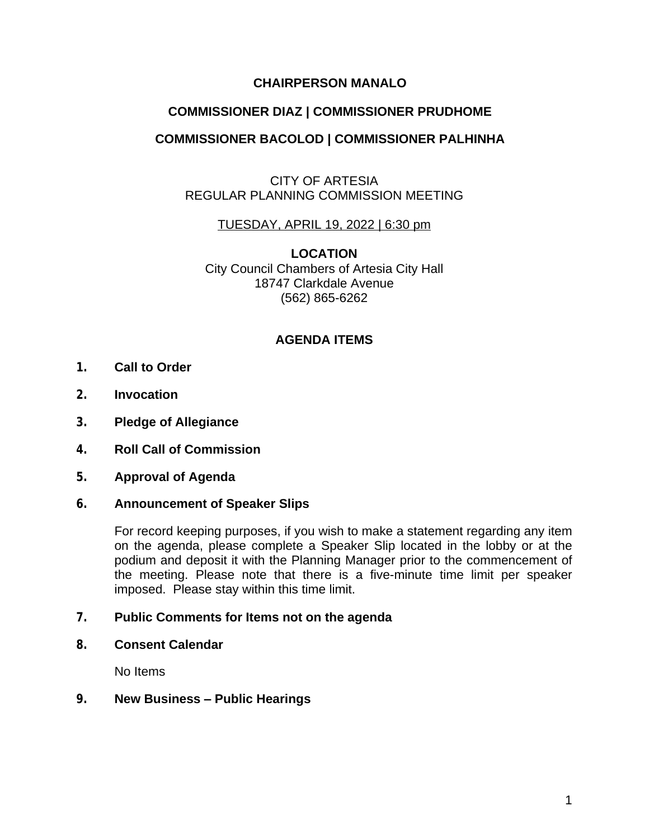# **CHAIRPERSON MANALO**

# **COMMISSIONER DIAZ | COMMISSIONER PRUDHOME**

# **COMMISSIONER BACOLOD | COMMISSIONER PALHINHA**

# CITY OF ARTESIA REGULAR PLANNING COMMISSION MEETING

## TUESDAY, APRIL 19, 2022 | 6:30 pm

**LOCATION** City Council Chambers of Artesia City Hall 18747 Clarkdale Avenue (562) 865-6262

## **AGENDA ITEMS**

- **1. Call to Order**
- **2. Invocation**
- **3. Pledge of Allegiance**
- **4. Roll Call of Commission**
- **5. Approval of Agenda**

### **6. Announcement of Speaker Slips**

For record keeping purposes, if you wish to make a statement regarding any item on the agenda, please complete a Speaker Slip located in the lobby or at the podium and deposit it with the Planning Manager prior to the commencement of the meeting. Please note that there is a five-minute time limit per speaker imposed. Please stay within this time limit.

### **7. Public Comments for Items not on the agenda**

**8. Consent Calendar**

No Items

### **9. New Business – Public Hearings**